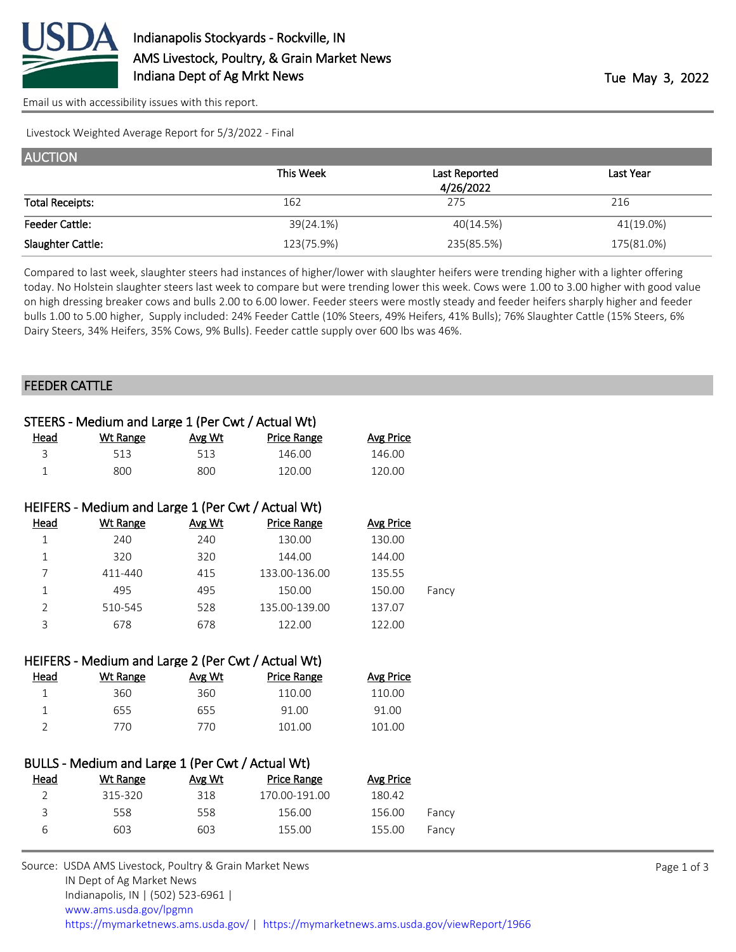

[Email us with accessibility issues with this report.](mailto:mars@ams.usda.gov?subject=508%20issue)

Livestock Weighted Average Report for 5/3/2022 - Final

| <b>AUCTION</b>         |            |               |            |
|------------------------|------------|---------------|------------|
|                        | This Week  | Last Reported | Last Year  |
|                        |            | 4/26/2022     |            |
| <b>Total Receipts:</b> | 162        | 275           | 216        |
| <b>Feeder Cattle:</b>  | 39(24.1%)  | 40(14.5%)     | 41(19.0%)  |
| Slaughter Cattle:      | 123(75.9%) | 235(85.5%)    | 175(81.0%) |

Compared to last week, slaughter steers had instances of higher/lower with slaughter heifers were trending higher with a lighter offering today. No Holstein slaughter steers last week to compare but were trending lower this week. Cows were 1.00 to 3.00 higher with good value on high dressing breaker cows and bulls 2.00 to 6.00 lower. Feeder steers were mostly steady and feeder heifers sharply higher and feeder bulls 1.00 to 5.00 higher, Supply included: 24% Feeder Cattle (10% Steers, 49% Heifers, 41% Bulls); 76% Slaughter Cattle (15% Steers, 6% Dairy Steers, 34% Heifers, 35% Cows, 9% Bulls). Feeder cattle supply over 600 lbs was 46%.

## FEEDER CATTLE

|                | STEERS - Medium and Large 1 (Per Cwt / Actual Wt)  |        |                    |                  |       |
|----------------|----------------------------------------------------|--------|--------------------|------------------|-------|
| Head           | <b>Wt Range</b>                                    | Avg Wt | Price Range        | <b>Avg Price</b> |       |
| 3              | 513                                                | 513    | 146.00             | 146.00           |       |
| $\mathbf{1}$   | 800                                                | 800    | 120.00             | 120.00           |       |
|                | HEIFERS - Medium and Large 1 (Per Cwt / Actual Wt) |        |                    |                  |       |
| Head           | <b>Wt Range</b>                                    | Avg Wt | <b>Price Range</b> | <b>Avg Price</b> |       |
| $\mathbf{1}$   | 240                                                | 240    | 130.00             | 130.00           |       |
| $\mathbf{1}$   | 320                                                | 320    | 144.00             | 144.00           |       |
| 7              | 411-440                                            | 415    | 133.00-136.00      | 135.55           |       |
| $\mathbf 1$    | 495                                                | 495    | 150.00             | 150.00           | Fancy |
| $\overline{2}$ | 510-545                                            | 528    | 135.00-139.00      | 137.07           |       |
| 3              | 678                                                | 678    | 122.00             | 122.00           |       |
|                | HEIFERS - Medium and Large 2 (Per Cwt / Actual Wt) |        |                    |                  |       |
| Head           | <b>Wt Range</b>                                    | Avg Wt | <b>Price Range</b> | <b>Avg Price</b> |       |
| $\mathbf{1}$   | 360                                                | 360    | 110.00             | 110.00           |       |
| $\mathbf{1}$   | 655                                                | 655    | 91.00              | 91.00            |       |
| $\overline{2}$ | 770                                                | 770    | 101.00             | 101.00           |       |
|                | BULLS - Medium and Large 1 (Per Cwt / Actual Wt)   |        |                    |                  |       |
| Head           | <b>Wt Range</b>                                    | Avg Wt | <b>Price Range</b> | <b>Avg Price</b> |       |
| $\overline{2}$ | 315-320                                            | 318    | 170.00-191.00      | 180.42           |       |
| 3              | 558                                                | 558    | 156.00             | 156.00           | Fancy |
| 6              | 603                                                | 603    | 155.00             | 155.00           | Fancy |

Source: USDA AMS Livestock, Poultry & Grain Market News IN Dept of Ag Market News Indianapolis, IN | (502) 523-6961 | [www.ams.usda.gov/lpgmn](https://www.ams.usda.gov/market-news) <https://mymarketnews.ams.usda.gov/> [|](https://www.ams.usda.gov/market-news) <https://mymarketnews.ams.usda.gov/viewReport/1966>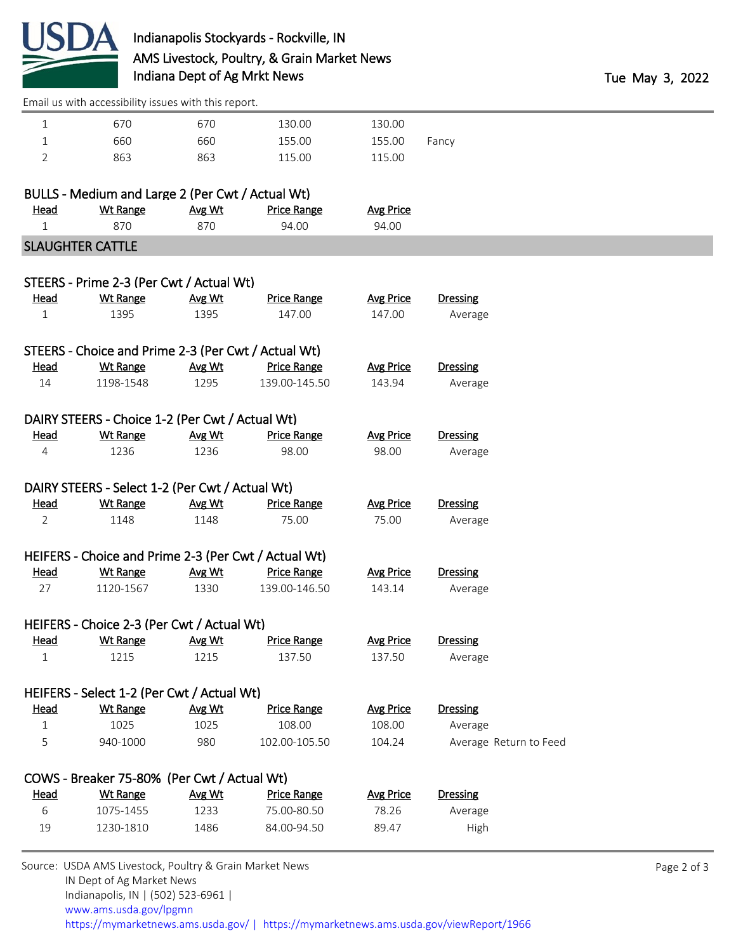

[Email us with accessibility issues with this report.](mailto:mars@ams.usda.gov?subject=508%20issue)

| 670 | 670 | 130.00 | 130.00 |       |
|-----|-----|--------|--------|-------|
| 660 | 660 | 155.00 | 155.00 | Fancy |
| 863 | 863 | 115.00 | 115.00 |       |

|      | BULLS - Medium and Large 2 (Per Cwt / Actual Wt) |        |                    |                  |
|------|--------------------------------------------------|--------|--------------------|------------------|
| Head | Wt Range                                         | Avg Wt | <b>Price Range</b> | <b>Avg Price</b> |
|      | 870.                                             | 870    | 94 NO              | 94 NO            |
|      |                                                  |        |                    |                  |

## SLAUGHTER CATTLE

|                | STEERS - Prime 2-3 (Per Cwt / Actual Wt)             |        |                    |                  |                        |
|----------------|------------------------------------------------------|--------|--------------------|------------------|------------------------|
| Head           | <b>Wt Range</b>                                      | Avg Wt | <b>Price Range</b> | <b>Avg Price</b> | <b>Dressing</b>        |
| $\mathbf 1$    | 1395                                                 | 1395   | 147.00             | 147.00           | Average                |
|                | STEERS - Choice and Prime 2-3 (Per Cwt / Actual Wt)  |        |                    |                  |                        |
| <b>Head</b>    | <b>Wt Range</b>                                      | Avg Wt | <b>Price Range</b> | <b>Avg Price</b> | <b>Dressing</b>        |
| 14             | 1198-1548                                            | 1295   | 139.00-145.50      | 143.94           | Average                |
|                | DAIRY STEERS - Choice 1-2 (Per Cwt / Actual Wt)      |        |                    |                  |                        |
| <b>Head</b>    | <b>Wt Range</b>                                      | Avg Wt | <b>Price Range</b> | <b>Avg Price</b> | <b>Dressing</b>        |
| $\overline{4}$ | 1236                                                 | 1236   | 98.00              | 98.00            | Average                |
|                | DAIRY STEERS - Select 1-2 (Per Cwt / Actual Wt)      |        |                    |                  |                        |
| <b>Head</b>    | <b>Wt Range</b>                                      | Avg Wt | <b>Price Range</b> | <b>Avg Price</b> | <b>Dressing</b>        |
| $\overline{2}$ | 1148                                                 | 1148   | 75.00              | 75.00            | Average                |
|                | HEIFERS - Choice and Prime 2-3 (Per Cwt / Actual Wt) |        |                    |                  |                        |
| <u>Head</u>    | <b>Wt Range</b>                                      | Avg Wt | <b>Price Range</b> | <b>Avg Price</b> | <b>Dressing</b>        |
| 27             | 1120-1567                                            | 1330   | 139.00-146.50      | 143.14           | Average                |
|                | HEIFERS - Choice 2-3 (Per Cwt / Actual Wt)           |        |                    |                  |                        |
| Head           | <b>Wt Range</b>                                      | Avg Wt | <b>Price Range</b> | <b>Avg Price</b> | <b>Dressing</b>        |
| $\mathbf{1}$   | 1215                                                 | 1215   | 137.50             | 137.50           | Average                |
|                | HEIFERS - Select 1-2 (Per Cwt / Actual Wt)           |        |                    |                  |                        |
| <b>Head</b>    | <b>Wt Range</b>                                      | Avg Wt | <b>Price Range</b> | <b>Avg Price</b> | Dressing               |
| $\mathbf{1}$   | 1025                                                 | 1025   | 108.00             | 108.00           | Average                |
| 5              | 940-1000                                             | 980    | 102.00-105.50      | 104.24           | Average Return to Feed |
|                | COWS - Breaker 75-80% (Per Cwt / Actual Wt)          |        |                    |                  |                        |
| Head           | <b>Wt Range</b>                                      | Avg Wt | <b>Price Range</b> | <b>Avg Price</b> | <b>Dressing</b>        |
| 6              | 1075-1455                                            | 1233   | 75.00-80.50        | 78.26            | Average                |
| 19             | 1230-1810                                            | 1486   | 84.00-94.50        | 89.47            | High                   |